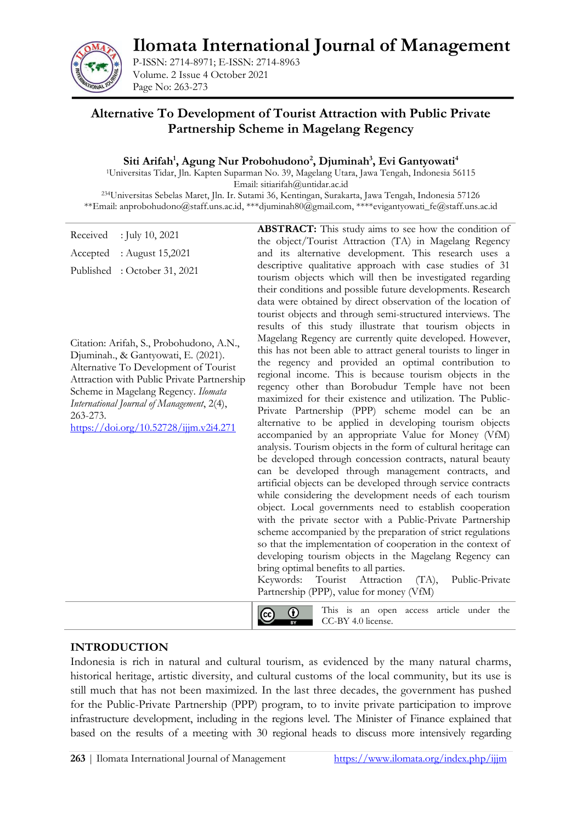**Ilomata International Journal of Management**



P-ISSN: 2714-8971; E-ISSN: 2714-8963 Volume. 2 Issue 4 October 2021 Page No: 263-273

# **Alternative To Development of Tourist Attraction with Public Private Partnership Scheme in Magelang Regency**

#### **Siti Arifah<sup>1</sup> , Agung Nur Probohudono<sup>2</sup> , Djuminah<sup>3</sup> , Evi Gantyowati<sup>4</sup>**

<sup>1</sup>Universitas Tidar, Jln. Kapten Suparman No. 39, Magelang Utara, Jawa Tengah, Indonesia 56115 Email: sitiarifah@untidar.ac.id <sup>234</sup>Universitas Sebelas Maret, Jln. Ir. Sutami 36, Kentingan, Surakarta, Jawa Tengah, Indonesia 57126

\*\*Email: [anprobohudono@staff.uns.ac.id,](mailto:anprobohudono@staff.uns.ac.id) [\\*\\*\\*djuminah80@gmail.com,](mailto:***djuminah80@gmail.com) [\\*\\*\\*\\*evigantyowati\\_fe@staff.uns.ac.id](mailto:****evigantyowati_fe@staff.uns.ac.id)

| Received<br>: July 10, 2021<br>: August 15,2021<br>Accepted                                                                                                                                                                                                                                                                                                         | <b>ABSTRACT:</b> This study aims to see how the condition of<br>the object/Tourist Attraction (TA) in Magelang Regency<br>and its alternative development. This research uses a                                                                                                                                                                                                                                                                                                                                                                                                                                                                                                                                                                                                                                                                                                                                                                                                                                                                                                                                                                                                                                                                                                                                                                                                                                                                                                                                                                                                                                                                                                                                  |
|---------------------------------------------------------------------------------------------------------------------------------------------------------------------------------------------------------------------------------------------------------------------------------------------------------------------------------------------------------------------|------------------------------------------------------------------------------------------------------------------------------------------------------------------------------------------------------------------------------------------------------------------------------------------------------------------------------------------------------------------------------------------------------------------------------------------------------------------------------------------------------------------------------------------------------------------------------------------------------------------------------------------------------------------------------------------------------------------------------------------------------------------------------------------------------------------------------------------------------------------------------------------------------------------------------------------------------------------------------------------------------------------------------------------------------------------------------------------------------------------------------------------------------------------------------------------------------------------------------------------------------------------------------------------------------------------------------------------------------------------------------------------------------------------------------------------------------------------------------------------------------------------------------------------------------------------------------------------------------------------------------------------------------------------------------------------------------------------|
| Published: October 31, 2021<br>Citation: Arifah, S., Probohudono, A.N.,<br>Djuminah., & Gantyowati, E. (2021).<br>Alternative To Development of Tourist<br>Attraction with Public Private Partnership<br>Scheme in Magelang Regency. Ilomata<br>International Journal of Management, 2(4),<br>263-273.<br>$\frac{\text{https://doi.org/10.52728/ijjm.v2i4.271}}{2}$ | descriptive qualitative approach with case studies of 31<br>tourism objects which will then be investigated regarding<br>their conditions and possible future developments. Research<br>data were obtained by direct observation of the location of<br>tourist objects and through semi-structured interviews. The<br>results of this study illustrate that tourism objects in<br>Magelang Regency are currently quite developed. However,<br>this has not been able to attract general tourists to linger in<br>the regency and provided an optimal contribution to<br>regional income. This is because tourism objects in the<br>regency other than Borobudur Temple have not been<br>maximized for their existence and utilization. The Public-<br>Private Partnership (PPP) scheme model can be an<br>alternative to be applied in developing tourism objects<br>accompanied by an appropriate Value for Money (VfM)<br>analysis. Tourism objects in the form of cultural heritage can<br>be developed through concession contracts, natural beauty<br>can be developed through management contracts, and<br>artificial objects can be developed through service contracts<br>while considering the development needs of each tourism<br>object. Local governments need to establish cooperation<br>with the private sector with a Public-Private Partnership<br>scheme accompanied by the preparation of strict regulations<br>so that the implementation of cooperation in the context of<br>developing tourism objects in the Magelang Regency can<br>bring optimal benefits to all parties.<br>Attraction<br>Public-Private<br>Keywords:<br>Tourist<br>(TA),<br>Partnership (PPP), value for money (VfM) |
|                                                                                                                                                                                                                                                                                                                                                                     | This is an open access article under the<br>⊙<br>(cc)<br>CC-BY 4.0 license.<br>$\overline{BY}$                                                                                                                                                                                                                                                                                                                                                                                                                                                                                                                                                                                                                                                                                                                                                                                                                                                                                                                                                                                                                                                                                                                                                                                                                                                                                                                                                                                                                                                                                                                                                                                                                   |

#### **INTRODUCTION**

Indonesia is rich in natural and cultural tourism, as evidenced by the many natural charms, historical heritage, artistic diversity, and cultural customs of the local community, but its use is still much that has not been maximized. In the last three decades, the government has pushed for the Public-Private Partnership (PPP) program, to to invite private participation to improve infrastructure development, including in the regions level. The Minister of Finance explained that based on the results of a meeting with 30 regional heads to discuss more intensively regarding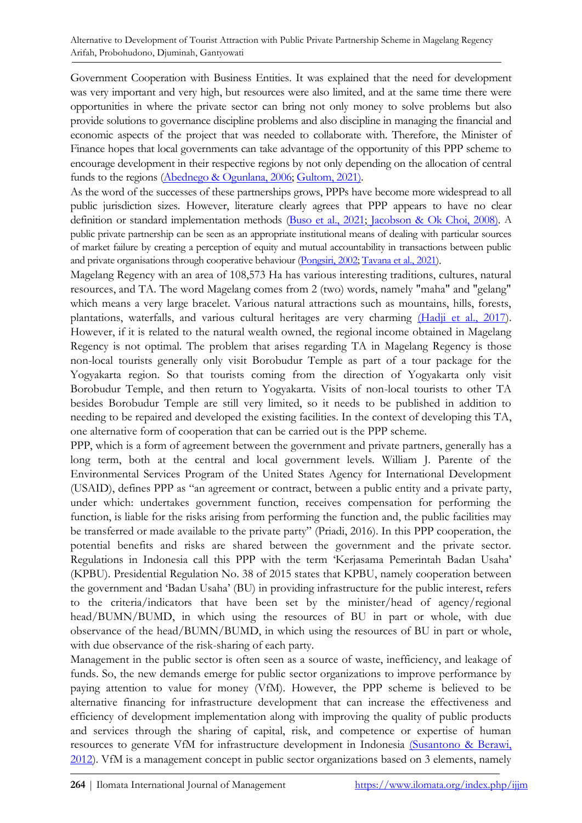Government Cooperation with Business Entities. It was explained that the need for development was very important and very high, but resources were also limited, and at the same time there were opportunities in where the private sector can bring not only money to solve problems but also provide solutions to governance discipline problems and also discipline in managing the financial and economic aspects of the project that was needed to collaborate with. Therefore, the Minister of Finance hopes that local governments can take advantage of the opportunity of this PPP scheme to encourage development in their respective regions by not only depending on the allocation of central funds to the regions [\(Abednego & Ogunlana, 2006;](#page-8-0) [Gultom, 2021\).](#page-9-0)

As the word of the successes of these partnerships grows, PPPs have become more widespread to all public jurisdiction sizes. However, literature clearly agrees that PPP appears to have no clear definition or standard implementation methods [\(Buso et al., 2021;](#page-9-1) [Jacobson & Ok Choi, 2008\).](#page-9-2) A public private partnership can be seen as an appropriate institutional means of dealing with particular sources of market failure by creating a perception of equity and mutual accountability in transactions between public and private organisations through cooperative behaviour [\(Pongsiri, 2002;](#page-10-0) [Tavana et al., 2021\)](#page-10-1).

Magelang Regency with an area of 108,573 Ha has various interesting traditions, cultures, natural resources, and TA. The word Magelang comes from 2 (two) words, namely "maha" and "gelang" which means a very large bracelet. Various natural attractions such as mountains, hills, forests, plantations, waterfalls, and various cultural heritages are very charming [\(Hadji et al., 2017\)](#page-9-3). However, if it is related to the natural wealth owned, the regional income obtained in Magelang Regency is not optimal. The problem that arises regarding TA in Magelang Regency is those non-local tourists generally only visit Borobudur Temple as part of a tour package for the Yogyakarta region. So that tourists coming from the direction of Yogyakarta only visit Borobudur Temple, and then return to Yogyakarta. Visits of non-local tourists to other TA besides Borobudur Temple are still very limited, so it needs to be published in addition to needing to be repaired and developed the existing facilities. In the context of developing this TA, one alternative form of cooperation that can be carried out is the PPP scheme.

PPP, which is a form of agreement between the government and private partners, generally has a long term, both at the central and local government levels. William J. Parente of the Environmental Services Program of the United States Agency for International Development (USAID), defines PPP as "an agreement or contract, between a public entity and a private party, under which: undertakes government function, receives compensation for performing the function, is liable for the risks arising from performing the function and, the public facilities may be transferred or made available to the private party" (Priadi, 2016). In this PPP cooperation, the potential benefits and risks are shared between the government and the private sector. Regulations in Indonesia call this PPP with the term 'Kerjasama Pemerintah Badan Usaha' (KPBU). Presidential Regulation No. 38 of 2015 states that KPBU, namely cooperation between the government and 'Badan Usaha' (BU) in providing infrastructure for the public interest, refers to the criteria/indicators that have been set by the minister/head of agency/regional head/BUMN/BUMD, in which using the resources of BU in part or whole, with due observance of the head/BUMN/BUMD, in which using the resources of BU in part or whole, with due observance of the risk-sharing of each party.

Management in the public sector is often seen as a source of waste, inefficiency, and leakage of funds. So, the new demands emerge for public sector organizations to improve performance by paying attention to value for money (VfM). However, the PPP scheme is believed to be alternative financing for infrastructure development that can increase the effectiveness and efficiency of development implementation along with improving the quality of public products and services through the sharing of capital, risk, and competence or expertise of human resources to generate VfM for infrastructure development in Indonesia [\(Susantono & Berawi,](#page-10-2)  [2012\)](#page-10-2). VfM is a management concept in public sector organizations based on 3 elements, namely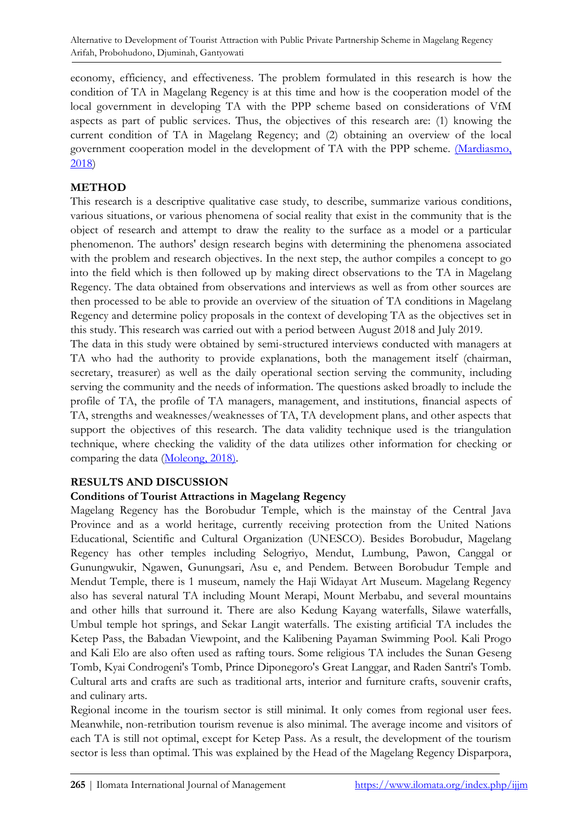economy, efficiency, and effectiveness. The problem formulated in this research is how the condition of TA in Magelang Regency is at this time and how is the cooperation model of the local government in developing TA with the PPP scheme based on considerations of VfM aspects as part of public services. Thus, the objectives of this research are: (1) knowing the current condition of TA in Magelang Regency; and (2) obtaining an overview of the local government cooperation model in the development of TA with the PPP scheme. [\(Mardiasmo,](#page-10-3)  [2018\)](#page-10-3)

## **METHOD**

This research is a descriptive qualitative case study, to describe, summarize various conditions, various situations, or various phenomena of social reality that exist in the community that is the object of research and attempt to draw the reality to the surface as a model or a particular phenomenon. The authors' design research begins with determining the phenomena associated with the problem and research objectives. In the next step, the author compiles a concept to go into the field which is then followed up by making direct observations to the TA in Magelang Regency. The data obtained from observations and interviews as well as from other sources are then processed to be able to provide an overview of the situation of TA conditions in Magelang Regency and determine policy proposals in the context of developing TA as the objectives set in this study. This research was carried out with a period between August 2018 and July 2019.

The data in this study were obtained by semi-structured interviews conducted with managers at TA who had the authority to provide explanations, both the management itself (chairman, secretary, treasurer) as well as the daily operational section serving the community, including serving the community and the needs of information. The questions asked broadly to include the profile of TA, the profile of TA managers, management, and institutions, financial aspects of TA, strengths and weaknesses/weaknesses of TA, TA development plans, and other aspects that support the objectives of this research. The data validity technique used is the triangulation technique, where checking the validity of the data utilizes other information for checking or comparing the data [\(Moleong, 2018\).](#page-10-4)

## **RESULTS AND DISCUSSION**

## **Conditions of Tourist Attractions in Magelang Regency**

Magelang Regency has the Borobudur Temple, which is the mainstay of the Central Java Province and as a world heritage, currently receiving protection from the United Nations Educational, Scientific and Cultural Organization (UNESCO). Besides Borobudur, Magelang Regency has other temples including Selogriyo, Mendut, Lumbung, Pawon, Canggal or Gunungwukir, Ngawen, Gunungsari, Asu e, and Pendem. Between Borobudur Temple and Mendut Temple, there is 1 museum, namely the Haji Widayat Art Museum. Magelang Regency also has several natural TA including Mount Merapi, Mount Merbabu, and several mountains and other hills that surround it. There are also Kedung Kayang waterfalls, Silawe waterfalls, Umbul temple hot springs, and Sekar Langit waterfalls. The existing artificial TA includes the Ketep Pass, the Babadan Viewpoint, and the Kalibening Payaman Swimming Pool. Kali Progo and Kali Elo are also often used as rafting tours. Some religious TA includes the Sunan Geseng Tomb, Kyai Condrogeni's Tomb, Prince Diponegoro's Great Langgar, and Raden Santri's Tomb. Cultural arts and crafts are such as traditional arts, interior and furniture crafts, souvenir crafts, and culinary arts.

Regional income in the tourism sector is still minimal. It only comes from regional user fees. Meanwhile, non-retribution tourism revenue is also minimal. The average income and visitors of each TA is still not optimal, except for Ketep Pass. As a result, the development of the tourism sector is less than optimal. This was explained by the Head of the Magelang Regency Disparpora,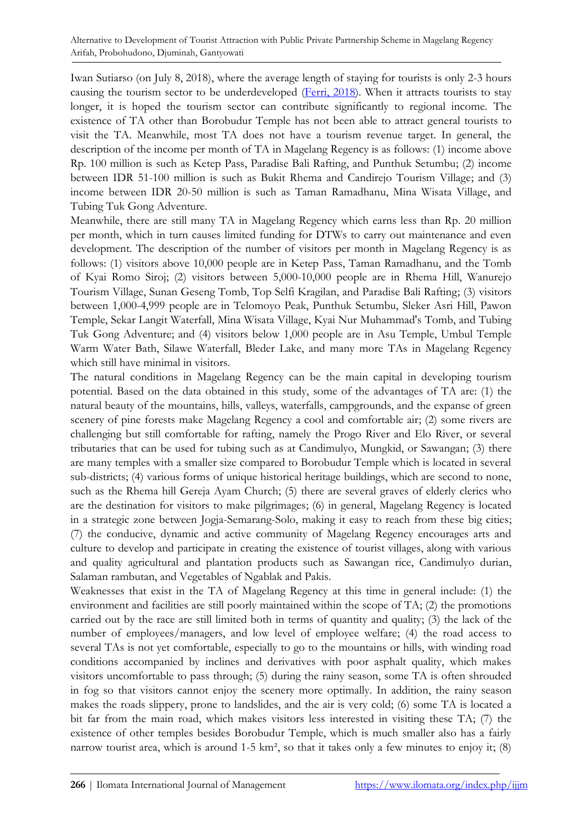Iwan Sutiarso (on July 8, 2018), where the average length of staying for tourists is only 2-3 hours causing the tourism sector to be underdeveloped [\(Ferri, 2018\)](#page-9-4). When it attracts tourists to stay longer, it is hoped the tourism sector can contribute significantly to regional income. The existence of TA other than Borobudur Temple has not been able to attract general tourists to visit the TA. Meanwhile, most TA does not have a tourism revenue target. In general, the description of the income per month of TA in Magelang Regency is as follows: (1) income above Rp. 100 million is such as Ketep Pass, Paradise Bali Rafting, and Punthuk Setumbu; (2) income between IDR 51-100 million is such as Bukit Rhema and Candirejo Tourism Village; and (3) income between IDR 20-50 million is such as Taman Ramadhanu, Mina Wisata Village, and Tubing Tuk Gong Adventure.

Meanwhile, there are still many TA in Magelang Regency which earns less than Rp. 20 million per month, which in turn causes limited funding for DTWs to carry out maintenance and even development. The description of the number of visitors per month in Magelang Regency is as follows: (1) visitors above 10,000 people are in Ketep Pass, Taman Ramadhanu, and the Tomb of Kyai Romo Siroj; (2) visitors between 5,000-10,000 people are in Rhema Hill, Wanurejo Tourism Village, Sunan Geseng Tomb, Top Selfi Kragilan, and Paradise Bali Rafting; (3) visitors between 1,000-4,999 people are in Telomoyo Peak, Punthuk Setumbu, Sleker Asri Hill, Pawon Temple, Sekar Langit Waterfall, Mina Wisata Village, Kyai Nur Muhammad's Tomb, and Tubing Tuk Gong Adventure; and (4) visitors below 1,000 people are in Asu Temple, Umbul Temple Warm Water Bath, Silawe Waterfall, Bleder Lake, and many more TAs in Magelang Regency which still have minimal in visitors.

The natural conditions in Magelang Regency can be the main capital in developing tourism potential. Based on the data obtained in this study, some of the advantages of TA are: (1) the natural beauty of the mountains, hills, valleys, waterfalls, campgrounds, and the expanse of green scenery of pine forests make Magelang Regency a cool and comfortable air; (2) some rivers are challenging but still comfortable for rafting, namely the Progo River and Elo River, or several tributaries that can be used for tubing such as at Candimulyo, Mungkid, or Sawangan; (3) there are many temples with a smaller size compared to Borobudur Temple which is located in several sub-districts; (4) various forms of unique historical heritage buildings, which are second to none, such as the Rhema hill Gereja Ayam Church; (5) there are several graves of elderly clerics who are the destination for visitors to make pilgrimages; (6) in general, Magelang Regency is located in a strategic zone between Jogja-Semarang-Solo, making it easy to reach from these big cities; (7) the conducive, dynamic and active community of Magelang Regency encourages arts and culture to develop and participate in creating the existence of tourist villages, along with various and quality agricultural and plantation products such as Sawangan rice, Candimulyo durian, Salaman rambutan, and Vegetables of Ngablak and Pakis.

Weaknesses that exist in the TA of Magelang Regency at this time in general include: (1) the environment and facilities are still poorly maintained within the scope of TA; (2) the promotions carried out by the race are still limited both in terms of quantity and quality; (3) the lack of the number of employees/managers, and low level of employee welfare; (4) the road access to several TAs is not yet comfortable, especially to go to the mountains or hills, with winding road conditions accompanied by inclines and derivatives with poor asphalt quality, which makes visitors uncomfortable to pass through; (5) during the rainy season, some TA is often shrouded in fog so that visitors cannot enjoy the scenery more optimally. In addition, the rainy season makes the roads slippery, prone to landslides, and the air is very cold; (6) some TA is located a bit far from the main road, which makes visitors less interested in visiting these TA; (7) the existence of other temples besides Borobudur Temple, which is much smaller also has a fairly narrow tourist area, which is around 1-5 km², so that it takes only a few minutes to enjoy it; (8)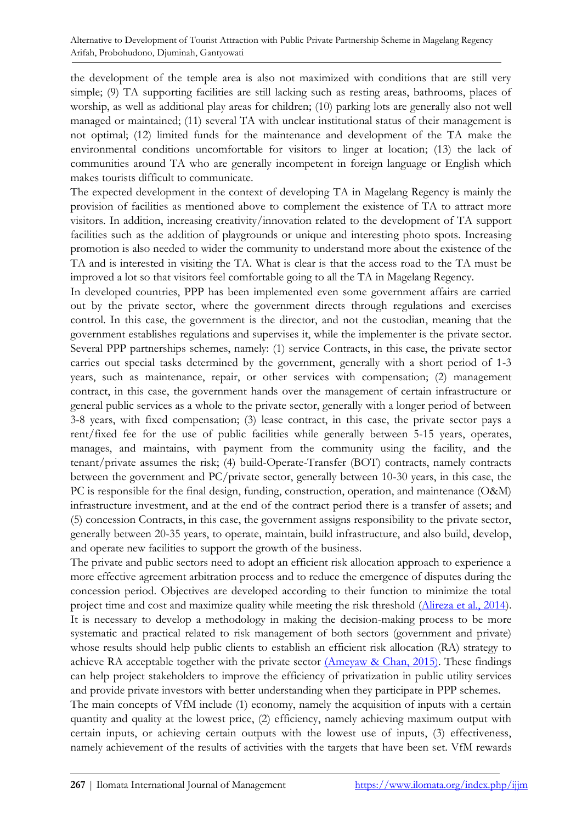the development of the temple area is also not maximized with conditions that are still very simple; (9) TA supporting facilities are still lacking such as resting areas, bathrooms, places of worship, as well as additional play areas for children; (10) parking lots are generally also not well managed or maintained; (11) several TA with unclear institutional status of their management is not optimal; (12) limited funds for the maintenance and development of the TA make the environmental conditions uncomfortable for visitors to linger at location; (13) the lack of communities around TA who are generally incompetent in foreign language or English which makes tourists difficult to communicate.

The expected development in the context of developing TA in Magelang Regency is mainly the provision of facilities as mentioned above to complement the existence of TA to attract more visitors. In addition, increasing creativity/innovation related to the development of TA support facilities such as the addition of playgrounds or unique and interesting photo spots. Increasing promotion is also needed to wider the community to understand more about the existence of the TA and is interested in visiting the TA. What is clear is that the access road to the TA must be improved a lot so that visitors feel comfortable going to all the TA in Magelang Regency.

In developed countries, PPP has been implemented even some government affairs are carried out by the private sector, where the government directs through regulations and exercises control. In this case, the government is the director, and not the custodian, meaning that the government establishes regulations and supervises it, while the implementer is the private sector. Several PPP partnerships schemes, namely: (1) service Contracts, in this case, the private sector carries out special tasks determined by the government, generally with a short period of 1-3 years, such as maintenance, repair, or other services with compensation; (2) management contract, in this case, the government hands over the management of certain infrastructure or general public services as a whole to the private sector, generally with a longer period of between 3-8 years, with fixed compensation; (3) lease contract, in this case, the private sector pays a rent/fixed fee for the use of public facilities while generally between 5-15 years, operates, manages, and maintains, with payment from the community using the facility, and the tenant/private assumes the risk; (4) build-Operate-Transfer (BOT) contracts, namely contracts between the government and PC/private sector, generally between 10-30 years, in this case, the PC is responsible for the final design, funding, construction, operation, and maintenance (O&M) infrastructure investment, and at the end of the contract period there is a transfer of assets; and (5) concession Contracts, in this case, the government assigns responsibility to the private sector, generally between 20-35 years, to operate, maintain, build infrastructure, and also build, develop, and operate new facilities to support the growth of the business.

The private and public sectors need to adopt an efficient risk allocation approach to experience a more effective agreement arbitration process and to reduce the emergence of disputes during the concession period. Objectives are developed according to their function to minimize the total project time and cost and maximize quality while meeting the risk threshold [\(Alireza et al., 2014\)](#page-9-5). It is necessary to develop a methodology in making the decision-making process to be more systematic and practical related to risk management of both sectors (government and private) whose results should help public clients to establish an efficient risk allocation (RA) strategy to achieve RA acceptable together with the private sector  $(Am$ eyaw & Chan, 2015). These findings can help project stakeholders to improve the efficiency of privatization in public utility services and provide private investors with better understanding when they participate in PPP schemes. The main concepts of VfM include (1) economy, namely the acquisition of inputs with a certain quantity and quality at the lowest price, (2) efficiency, namely achieving maximum output with certain inputs, or achieving certain outputs with the lowest use of inputs, (3) effectiveness, namely achievement of the results of activities with the targets that have been set. VfM rewards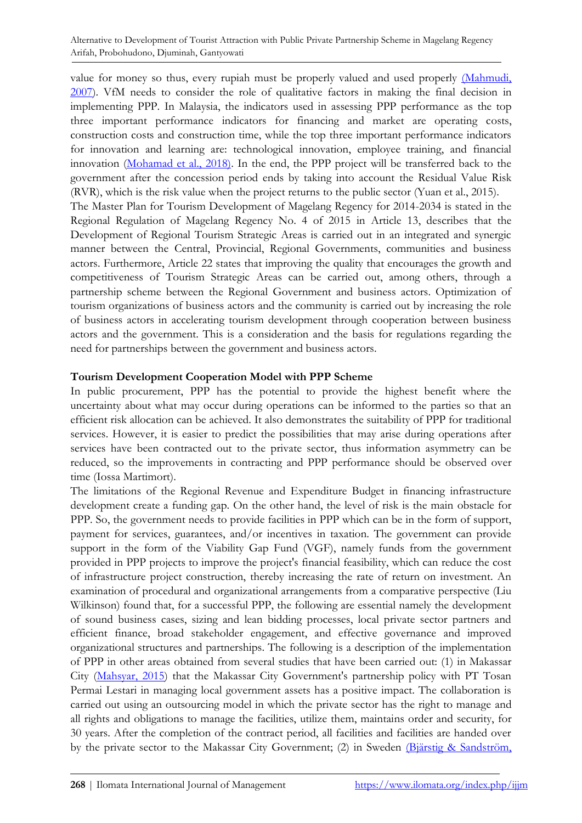Alternative to Development of Tourist Attraction with Public Private Partnership Scheme in Magelang Regency Arifah, Probohudono, Djuminah, Gantyowati

value for money so thus, every rupiah must be properly valued and used properly (Mahmudi, [2007\)](#page-9-7). VfM needs to consider the role of qualitative factors in making the final decision in implementing PPP. In Malaysia, the indicators used in assessing PPP performance as the top three important performance indicators for financing and market are operating costs, construction costs and construction time, while the top three important performance indicators for innovation and learning are: technological innovation, employee training, and financial innovation [\(Mohamad et al., 2018\).](#page-10-5) In the end, the PPP project will be transferred back to the government after the concession period ends by taking into account the Residual Value Risk (RVR), which is the risk value when the project returns to the public sector (Yuan et al., 2015). The Master Plan for Tourism Development of Magelang Regency for 2014-2034 is stated in the Regional Regulation of Magelang Regency No. 4 of 2015 in Article 13, describes that the Development of Regional Tourism Strategic Areas is carried out in an integrated and synergic manner between the Central, Provincial, Regional Governments, communities and business actors. Furthermore, Article 22 states that improving the quality that encourages the growth and competitiveness of Tourism Strategic Areas can be carried out, among others, through a partnership scheme between the Regional Government and business actors. Optimization of tourism organizations of business actors and the community is carried out by increasing the role of business actors in accelerating tourism development through cooperation between business actors and the government. This is a consideration and the basis for regulations regarding the need for partnerships between the government and business actors.

#### **Tourism Development Cooperation Model with PPP Scheme**

In public procurement, PPP has the potential to provide the highest benefit where the uncertainty about what may occur during operations can be informed to the parties so that an efficient risk allocation can be achieved. It also demonstrates the suitability of PPP for traditional services. However, it is easier to predict the possibilities that may arise during operations after services have been contracted out to the private sector, thus information asymmetry can be reduced, so the improvements in contracting and PPP performance should be observed over time (Iossa Martimort).

The limitations of the Regional Revenue and Expenditure Budget in financing infrastructure development create a funding gap. On the other hand, the level of risk is the main obstacle for PPP. So, the government needs to provide facilities in PPP which can be in the form of support, payment for services, guarantees, and/or incentives in taxation. The government can provide support in the form of the Viability Gap Fund (VGF), namely funds from the government provided in PPP projects to improve the project's financial feasibility, which can reduce the cost of infrastructure project construction, thereby increasing the rate of return on investment. An examination of procedural and organizational arrangements from a comparative perspective (Liu Wilkinson) found that, for a successful PPP, the following are essential namely the development of sound business cases, sizing and lean bidding processes, local private sector partners and efficient finance, broad stakeholder engagement, and effective governance and improved organizational structures and partnerships. The following is a description of the implementation of PPP in other areas obtained from several studies that have been carried out: (1) in Makassar City [\(Mahsyar, 2015\)](#page-10-6) that the Makassar City Government's partnership policy with PT Tosan Permai Lestari in managing local government assets has a positive impact. The collaboration is carried out using an outsourcing model in which the private sector has the right to manage and all rights and obligations to manage the facilities, utilize them, maintains order and security, for 30 years. After the completion of the contract period, all facilities and facilities are handed over by the private sector to the Makassar City Government; (2) in Sweden [\(Bjärstig & Sandström,](#page-9-8)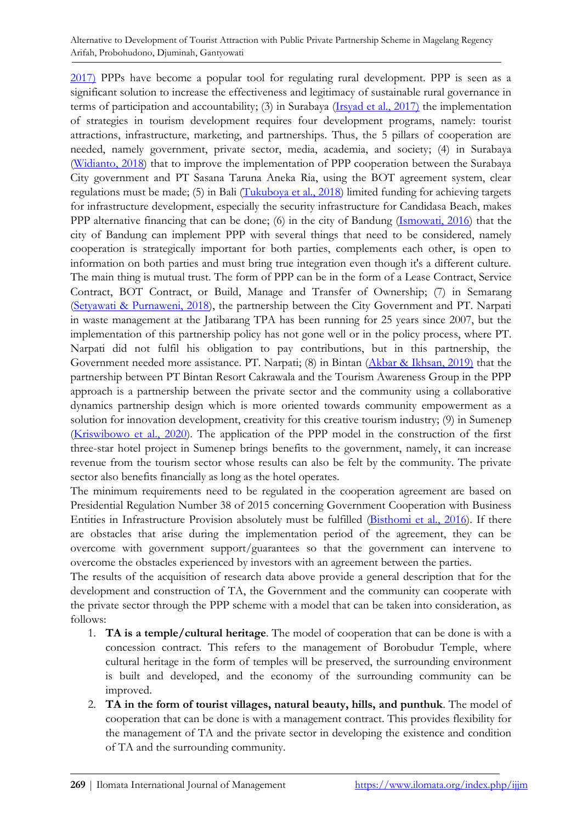Alternative to Development of Tourist Attraction with Public Private Partnership Scheme in Magelang Regency Arifah, Probohudono, Djuminah, Gantyowati

2017) PPPs have become a popular tool for regulating rural development. PPP is seen as a significant solution to increase the effectiveness and legitimacy of sustainable rural governance in terms of participation and accountability; (3) in Surabaya [\(Irsyad et al., 2017\)](#page-9-9) the implementation of strategies in tourism development requires four development programs, namely: tourist attractions, infrastructure, marketing, and partnerships. Thus, the 5 pillars of cooperation are needed, namely government, private sector, media, academia, and society; (4) in Surabaya [\(Widianto, 2018\)](#page-10-7) that to improve the implementation of PPP cooperation between the Surabaya City government and PT Sasana Taruna Aneka Ria, using the BOT agreement system, clear regulations must be made; (5) in Bali [\(Tukuboya et al., 2018\)](#page-10-8) limited funding for achieving targets for infrastructure development, especially the security infrastructure for Candidasa Beach, makes PPP alternative financing that can be done; (6) in the city of Bandung [\(Ismowati, 2016\)](#page-9-10) that the city of Bandung can implement PPP with several things that need to be considered, namely cooperation is strategically important for both parties, complements each other, is open to information on both parties and must bring true integration even though it's a different culture. The main thing is mutual trust. The form of PPP can be in the form of a Lease Contract, Service Contract, BOT Contract, or Build, Manage and Transfer of Ownership; (7) in Semarang [\(Setyawati & Purnaweni, 2018\)](#page-10-9), the partnership between the City Government and PT. Narpati in waste management at the Jatibarang TPA has been running for 25 years since 2007, but the implementation of this partnership policy has not gone well or in the policy process, where PT. Narpati did not fulfil his obligation to pay contributions, but in this partnership, the Government needed more assistance. PT. Narpati; (8) in Bintan [\(Akbar & Ikhsan, 2019\)](#page-9-11) that the partnership between PT Bintan Resort Cakrawala and the Tourism Awareness Group in the PPP approach is a partnership between the private sector and the community using a collaborative dynamics partnership design which is more oriented towards community empowerment as a solution for innovation development, creativity for this creative tourism industry; (9) in Sumenep [\(Kriswibowo et al., 2020\)](#page-9-12). The application of the PPP model in the construction of the first three-star hotel project in Sumenep brings benefits to the government, namely, it can increase revenue from the tourism sector whose results can also be felt by the community. The private sector also benefits financially as long as the hotel operates.

The minimum requirements need to be regulated in the cooperation agreement are based on Presidential Regulation Number 38 of 2015 concerning Government Cooperation with Business Entities in Infrastructure Provision absolutely must be fulfilled [\(Bisthomi et al., 2016\)](#page-9-13). If there are obstacles that arise during the implementation period of the agreement, they can be overcome with government support/guarantees so that the government can intervene to overcome the obstacles experienced by investors with an agreement between the parties.

The results of the acquisition of research data above provide a general description that for the development and construction of TA, the Government and the community can cooperate with the private sector through the PPP scheme with a model that can be taken into consideration, as follows:

- 1. **TA is a temple/cultural heritage**. The model of cooperation that can be done is with a concession contract. This refers to the management of Borobudur Temple, where cultural heritage in the form of temples will be preserved, the surrounding environment is built and developed, and the economy of the surrounding community can be improved.
- 2. **TA in the form of tourist villages, natural beauty, hills, and punthuk**. The model of cooperation that can be done is with a management contract. This provides flexibility for the management of TA and the private sector in developing the existence and condition of TA and the surrounding community.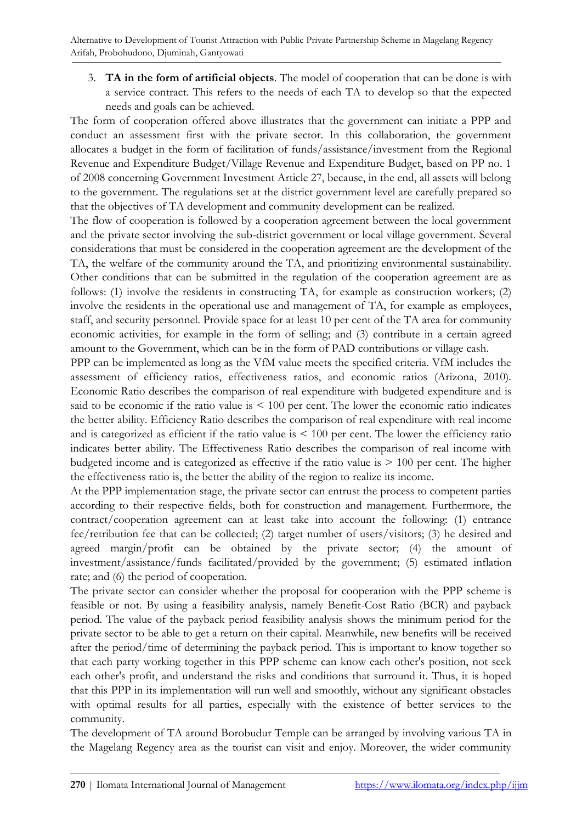3. **TA in the form of artificial objects**. The model of cooperation that can be done is with a service contract. This refers to the needs of each TA to develop so that the expected needs and goals can be achieved.

The form of cooperation offered above illustrates that the government can initiate a PPP and conduct an assessment first with the private sector. In this collaboration, the government allocates a budget in the form of facilitation of funds/assistance/investment from the Regional Revenue and Expenditure Budget/Village Revenue and Expenditure Budget, based on PP no. 1 of 2008 concerning Government Investment Article 27, because, in the end, all assets will belong to the government. The regulations set at the district government level are carefully prepared so that the objectives of TA development and community development can be realized.

The flow of cooperation is followed by a cooperation agreement between the local government and the private sector involving the sub-district government or local village government. Several considerations that must be considered in the cooperation agreement are the development of the TA, the welfare of the community around the TA, and prioritizing environmental sustainability. Other conditions that can be submitted in the regulation of the cooperation agreement are as follows: (1) involve the residents in constructing TA, for example as construction workers; (2) involve the residents in the operational use and management of TA, for example as employees, staff, and security personnel. Provide space for at least 10 per cent of the TA area for community economic activities, for example in the form of selling; and (3) contribute in a certain agreed amount to the Government, which can be in the form of PAD contributions or village cash.

PPP can be implemented as long as the VfM value meets the specified criteria. VfM includes the assessment of efficiency ratios, effectiveness ratios, and economic ratios (Arizona, 2010). Economic Ratio describes the comparison of real expenditure with budgeted expenditure and is said to be economic if the ratio value is  $\leq 100$  per cent. The lower the economic ratio indicates the better ability. Efficiency Ratio describes the comparison of real expenditure with real income and is categorized as efficient if the ratio value is < 100 per cent. The lower the efficiency ratio indicates better ability. The Effectiveness Ratio describes the comparison of real income with budgeted income and is categorized as effective if the ratio value is  $> 100$  per cent. The higher the effectiveness ratio is, the better the ability of the region to realize its income.

At the PPP implementation stage, the private sector can entrust the process to competent parties according to their respective fields, both for construction and management. Furthermore, the contract/cooperation agreement can at least take into account the following: (1) entrance fee/retribution fee that can be collected; (2) target number of users/visitors; (3) he desired and agreed margin/profit can be obtained by the private sector; (4) the amount of investment/assistance/funds facilitated/provided by the government; (5) estimated inflation rate; and (6) the period of cooperation.

The private sector can consider whether the proposal for cooperation with the PPP scheme is feasible or not. By using a feasibility analysis, namely Benefit-Cost Ratio (BCR) and payback period. The value of the payback period feasibility analysis shows the minimum period for the private sector to be able to get a return on their capital. Meanwhile, new benefits will be received after the period/time of determining the payback period. This is important to know together so that each party working together in this PPP scheme can know each other's position, not seek each other's profit, and understand the risks and conditions that surround it. Thus, it is hoped that this PPP in its implementation will run well and smoothly, without any significant obstacles with optimal results for all parties, especially with the existence of better services to the community.

The development of TA around Borobudur Temple can be arranged by involving various TA in the Magelang Regency area as the tourist can visit and enjoy. Moreover, the wider community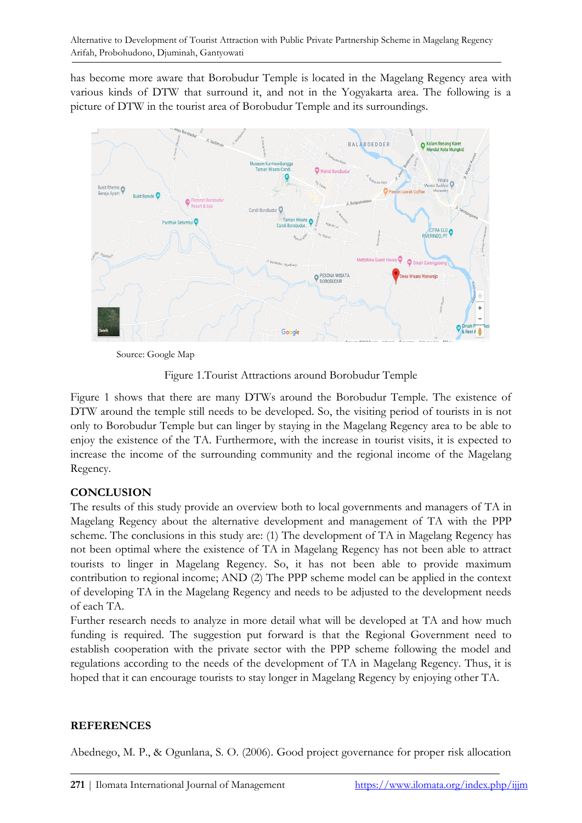has become more aware that Borobudur Temple is located in the Magelang Regency area with various kinds of DTW that surround it, and not in the Yogyakarta area. The following is a picture of DTW in the tourist area of Borobudur Temple and its surroundings.



Source: Google Map

Figure 1.Tourist Attractions around Borobudur Temple

Figure 1 shows that there are many DTWs around the Borobudur Temple. The existence of DTW around the temple still needs to be developed. So, the visiting period of tourists in is not only to Borobudur Temple but can linger by staying in the Magelang Regency area to be able to enjoy the existence of the TA. Furthermore, with the increase in tourist visits, it is expected to increase the income of the surrounding community and the regional income of the Magelang Regency.

## **CONCLUSION**

The results of this study provide an overview both to local governments and managers of TA in Magelang Regency about the alternative development and management of TA with the PPP scheme. The conclusions in this study are: (1) The development of TA in Magelang Regency has not been optimal where the existence of TA in Magelang Regency has not been able to attract tourists to linger in Magelang Regency. So, it has not been able to provide maximum contribution to regional income; AND (2) The PPP scheme model can be applied in the context of developing TA in the Magelang Regency and needs to be adjusted to the development needs of each TA.

Further research needs to analyze in more detail what will be developed at TA and how much funding is required. The suggestion put forward is that the Regional Government need to establish cooperation with the private sector with the PPP scheme following the model and regulations according to the needs of the development of TA in Magelang Regency. Thus, it is hoped that it can encourage tourists to stay longer in Magelang Regency by enjoying other TA.

# **REFERENCES**

<span id="page-8-0"></span>Abednego, M. P., & Ogunlana, S. O. (2006). Good project governance for proper risk allocation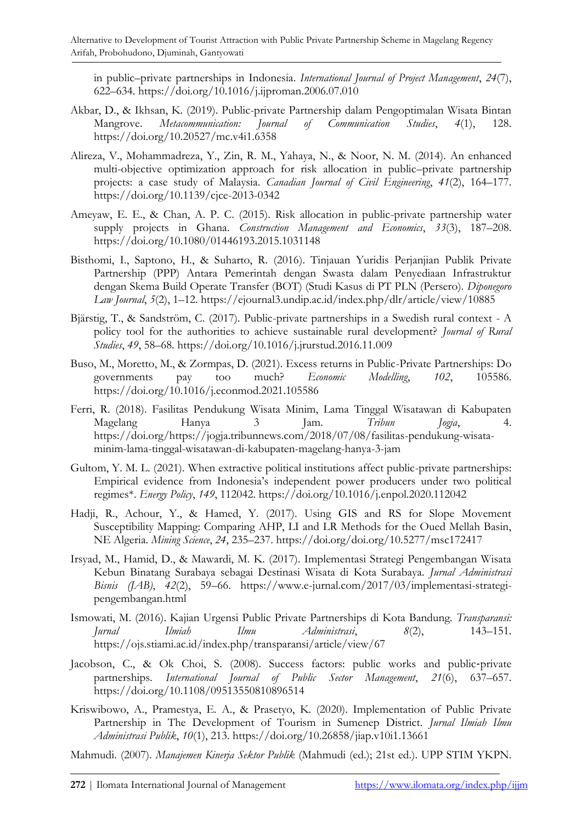in public–private partnerships in Indonesia. *International Journal of Project Management*, *24*(7), 622–634. https://doi.org/10.1016/j.ijproman.2006.07.010

- <span id="page-9-11"></span>Akbar, D., & Ikhsan, K. (2019). Public-private Partnership dalam Pengoptimalan Wisata Bintan Mangrove. *Metacommunication: Journal of Communication Studies*, *4*(1), 128. https://doi.org/10.20527/mc.v4i1.6358
- <span id="page-9-5"></span>Alireza, V., Mohammadreza, Y., Zin, R. M., Yahaya, N., & Noor, N. M. (2014). An enhanced multi-objective optimization approach for risk allocation in public–private partnership projects: a case study of Malaysia. *Canadian Journal of Civil Engineering*, *41*(2), 164–177. https://doi.org/10.1139/cjce-2013-0342
- <span id="page-9-6"></span>Ameyaw, E. E., & Chan, A. P. C. (2015). Risk allocation in public-private partnership water supply projects in Ghana. *Construction Management and Economics*, *33*(3), 187–208. https://doi.org/10.1080/01446193.2015.1031148
- <span id="page-9-13"></span>Bisthomi, I., Saptono, H., & Suharto, R. (2016). Tinjauan Yuridis Perjanjian Publik Private Partnership (PPP) Antara Pemerintah dengan Swasta dalam Penyediaan Infrastruktur dengan Skema Build Operate Transfer (BOT) (Studi Kasus di PT PLN (Persero). *Diponegoro Law Journal*, *5*(2), 1–12. https://ejournal3.undip.ac.id/index.php/dlr/article/view/10885
- <span id="page-9-8"></span>Bjärstig, T., & Sandström, C. (2017). Public-private partnerships in a Swedish rural context - A policy tool for the authorities to achieve sustainable rural development? *Journal of Rural Studies*, *49*, 58–68. https://doi.org/10.1016/j.jrurstud.2016.11.009
- <span id="page-9-1"></span>Buso, M., Moretto, M., & Zormpas, D. (2021). Excess returns in Public-Private Partnerships: Do governments pay too much? *Economic Modelling*, *102*, 105586. https://doi.org/10.1016/j.econmod.2021.105586
- <span id="page-9-4"></span>Ferri, R. (2018). Fasilitas Pendukung Wisata Minim, Lama Tinggal Wisatawan di Kabupaten Magelang Hanya 3 Jam. *Tribun Jogja*, 4. https://doi.org/https://jogja.tribunnews.com/2018/07/08/fasilitas-pendukung-wisataminim-lama-tinggal-wisatawan-di-kabupaten-magelang-hanya-3-jam
- <span id="page-9-0"></span>Gultom, Y. M. L. (2021). When extractive political institutions affect public-private partnerships: Empirical evidence from Indonesia's independent power producers under two political regimes\*. *Energy Policy*, *149*, 112042. https://doi.org/10.1016/j.enpol.2020.112042
- <span id="page-9-3"></span>Hadji, R., Achour, Y., & Hamed, Y. (2017). Using GIS and RS for Slope Movement Susceptibility Mapping: Comparing AHP, LI and LR Methods for the Oued Mellah Basin, NE Algeria. *Mining Science*, *24*, 235–237. https://doi.org/doi.org/10.5277/msc172417
- <span id="page-9-9"></span>Irsyad, M., Hamid, D., & Mawardi, M. K. (2017). Implementasi Strategi Pengembangan Wisata Kebun Binatang Surabaya sebagai Destinasi Wisata di Kota Surabaya. *Jurnal Administrasi Bisnis (JAB)*, *42*(2), 59–66. https://www.e-jurnal.com/2017/03/implementasi-strategipengembangan.html
- <span id="page-9-10"></span>Ismowati, M. (2016). Kajian Urgensi Public Private Partnerships di Kota Bandung. *Transparansi: Jurnal Ilmiah Ilmu Administrasi*, *8*(2), 143–151. https://ojs.stiami.ac.id/index.php/transparansi/article/view/67
- <span id="page-9-2"></span>Jacobson, C., & Ok Choi, S. (2008). Success factors: public works and public‐private partnerships. *International Journal of Public Sector Management*, *21*(6), 637–657. https://doi.org/10.1108/09513550810896514
- <span id="page-9-12"></span>Kriswibowo, A., Pramestya, E. A., & Prasetyo, K. (2020). Implementation of Public Private Partnership in The Development of Tourism in Sumenep District. *Jurnal Ilmiah Ilmu Administrasi Publik*, *10*(1), 213. https://doi.org/10.26858/jiap.v10i1.13661

<span id="page-9-7"></span>Mahmudi. (2007). *Manajemen Kinerja Sektor Publik* (Mahmudi (ed.); 21st ed.). UPP STIM YKPN.